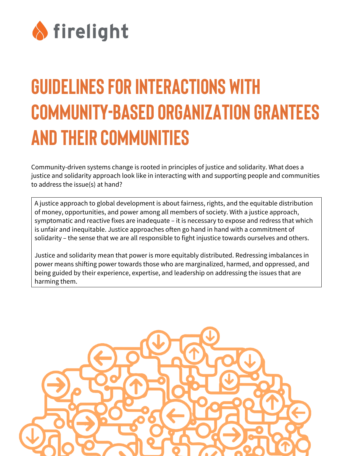

## **Guidelines for interactions with community-based organization grantees AND THEIR COMMUNITIES**

Community-driven systems change is rooted in principles of justice and solidarity. What does a justice and solidarity approach look like in interacting with and supporting people and communities to address the issue(s) at hand?

A justice approach to global development is about fairness, rights, and the equitable distribution of money, opportunities, and power among all members of society. With a justice approach, symptomatic and reactive fixes are inadequate – it is necessary to expose and redress that which is unfair and inequitable. Justice approaches often go hand in hand with a commitment of solidarity – the sense that we are all responsible to fight injustice towards ourselves and others.

Justice and solidarity mean that power is more equitably distributed. Redressing imbalances in power means shifting power towards those who are marginalized, harmed, and oppressed, and being guided by their experience, expertise, and leadership on addressing the issues that are harming them.

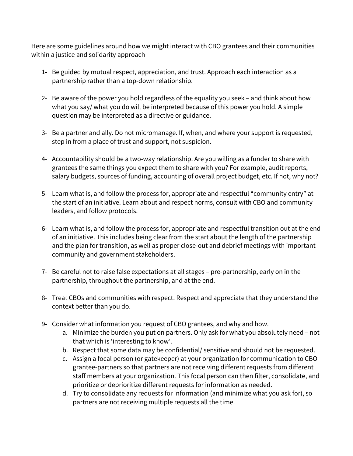Here are some guidelines around how we might interact with CBO grantees and their communities within a justice and solidarity approach –

- 1- Be guided by mutual respect, appreciation, and trust. Approach each interaction as a partnership rather than a top-down relationship.
- 2- Be aware of the power you hold regardless of the equality you seek and think about how what you say/ what you do will be interpreted because of this power you hold. A simple question may be interpreted as a directive or guidance.
- 3- Be a partner and ally. Do not micromanage. If, when, and where your support is requested, step in from a place of trust and support, not suspicion.
- 4- Accountability should be a two-way relationship. Are you willing as a funder to share with grantees the same things you expect them to share with you? For example, audit reports, salary budgets, sources of funding, accounting of overall project budget, etc. If not, why not?
- 5- Learn what is, and follow the process for, appropriate and respectful "community entry" at the start of an initiative. Learn about and respect norms, consult with CBO and community leaders, and follow protocols.
- 6- Learn what is, and follow the process for, appropriate and respectful transition out at the end of an initiative. This includes being clear from the start about the length of the partnership and the plan for transition, as well as proper close-out and debrief meetings with important community and government stakeholders.
- 7- Be careful not to raise false expectations at all stages pre-partnership, early on in the partnership, throughout the partnership, and at the end.
- 8- Treat CBOs and communities with respect. Respect and appreciate that they understand the context better than you do.
- 9- Consider what information you request of CBO grantees, and why and how.
	- a. Minimize the burden you put on partners. Only ask for what you absolutely need not that which is 'interesting to know'.
	- b. Respect that some data may be confidential/ sensitive and should not be requested.
	- c. Assign a focal person (or gatekeeper) at your organization for communication to CBO grantee-partners so that partners are not receiving different requests from different staff members at your organization. This focal person can then filter, consolidate, and prioritize or deprioritize different requests for information as needed.
	- d. Try to consolidate any requests for information (and minimize what you ask for), so partners are not receiving multiple requests all the time.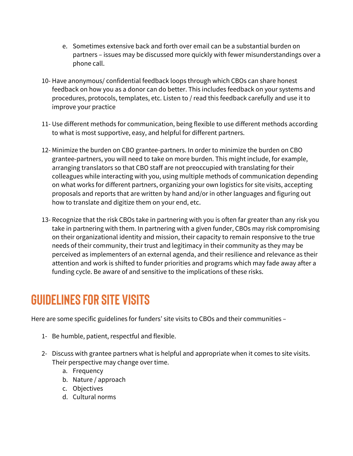- e. Sometimes extensive back and forth over email can be a substantial burden on partners – issues may be discussed more quickly with fewer misunderstandings over a phone call.
- 10- Have anonymous/ confidential feedback loops through which CBOs can share honest feedback on how you as a donor can do better. This includes feedback on your systems and procedures, protocols, templates, etc. Listen to / read this feedback carefully and use it to improve your practice
- 11- Use different methods for communication, being flexible to use different methods according to what is most supportive, easy, and helpful for different partners.
- 12- Minimize the burden on CBO grantee-partners. In order to minimize the burden on CBO grantee-partners, you will need to take on more burden. This might include, for example, arranging translators so that CBO staff are not preoccupied with translating for their colleagues while interacting with you, using multiple methods of communication depending on what works for different partners, organizing your own logistics for site visits, accepting proposals and reports that are written by hand and/or in other languages and figuring out how to translate and digitize them on your end, etc.
- 13- Recognize that the risk CBOs take in partnering with you is often far greater than any risk you take in partnering with them. In partnering with a given funder, CBOs may risk compromising on their organizational identity and mission, their capacity to remain responsive to the true needs of their community, their trust and legitimacy in their community as they may be perceived as implementers of an external agenda, and their resilience and relevance as their attention and work is shifted to funder priorities and programs which may fade away after a funding cycle. Be aware of and sensitive to the implications of these risks.

## **Guidelines for site visits**

Here are some specific guidelines for funders' site visits to CBOs and their communities –

- 1- Be humble, patient, respectful and flexible.
- 2- Discuss with grantee partners what is helpful and appropriate when it comes to site visits. Their perspective may change over time.
	- a. Frequency
	- b. Nature / approach
	- c. Objectives
	- d. Cultural norms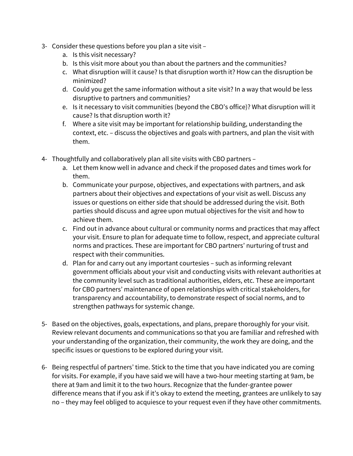- 3- Consider these questions before you plan a site visit
	- a. Is this visit necessary?
	- b. Is this visit more about you than about the partners and the communities?
	- c. What disruption will it cause? Is that disruption worth it? How can the disruption be minimized?
	- d. Could you get the same information without a site visit? In a way that would be less disruptive to partners and communities?
	- e. Is it necessary to visit communities (beyond the CBO's office)? What disruption will it cause? Is that disruption worth it?
	- f. Where a site visit may be important for relationship building, understanding the context, etc. – discuss the objectives and goals with partners, and plan the visit with them.
- 4- Thoughtfully and collaboratively plan all site visits with CBO partners
	- a. Let them know well in advance and check if the proposed dates and times work for them.
	- b. Communicate your purpose, objectives, and expectations with partners, and ask partners about their objectives and expectations of your visit as well. Discuss any issues or questions on either side that should be addressed during the visit. Both parties should discuss and agree upon mutual objectives for the visit and how to achieve them.
	- c. Find out in advance about cultural or community norms and practices that may affect your visit. Ensure to plan for adequate time to follow, respect, and appreciate cultural norms and practices. These are important for CBO partners' nurturing of trust and respect with their communities.
	- d. Plan for and carry out any important courtesies such as informing relevant government officials about your visit and conducting visits with relevant authorities at the community level such as traditional authorities, elders, etc. These are important for CBO partners' maintenance of open relationships with critical stakeholders, for transparency and accountability, to demonstrate respect of social norms, and to strengthen pathways for systemic change.
- 5- Based on the objectives, goals, expectations, and plans, prepare thoroughly for your visit. Review relevant documents and communications so that you are familiar and refreshed with your understanding of the organization, their community, the work they are doing, and the specific issues or questions to be explored during your visit.
- 6- Being respectful of partners' time. Stick to the time that you have indicated you are coming for visits. For example, if you have said we will have a two-hour meeting starting at 9am, be there at 9am and limit it to the two hours. Recognize that the funder-grantee power difference means that if you ask if it's okay to extend the meeting, grantees are unlikely to say no – they may feel obliged to acquiesce to your request even if they have other commitments.